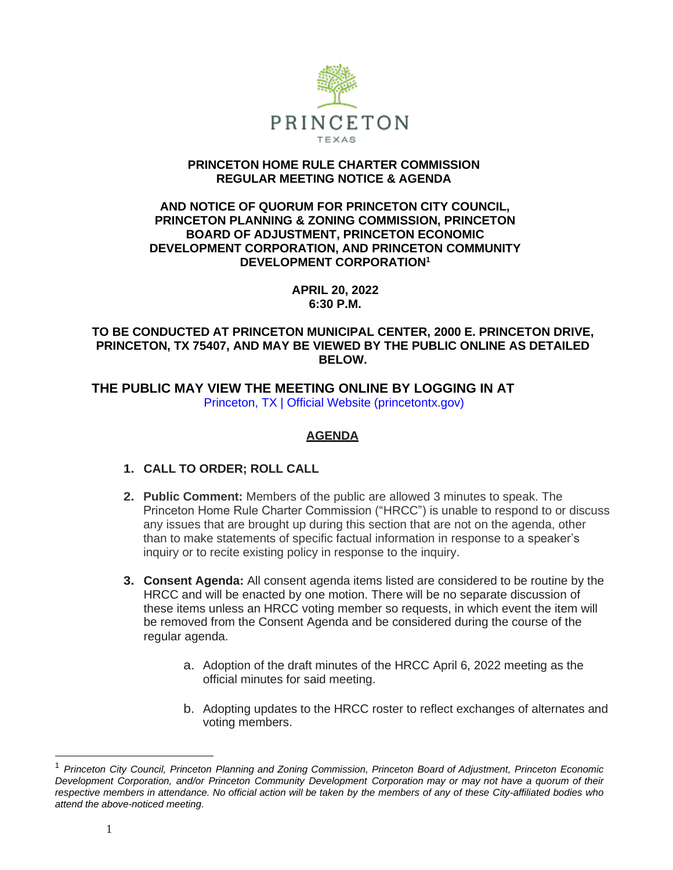

### **PRINCETON HOME RULE CHARTER COMMISSION REGULAR MEETING NOTICE & AGENDA**

### **AND NOTICE OF QUORUM FOR PRINCETON CITY COUNCIL, PRINCETON PLANNING & ZONING COMMISSION, PRINCETON BOARD OF ADJUSTMENT, PRINCETON ECONOMIC DEVELOPMENT CORPORATION, AND PRINCETON COMMUNITY DEVELOPMENT CORPORATION<sup>1</sup>**

**APRIL 20, 2022 6:30 P.M.**

### **TO BE CONDUCTED AT PRINCETON MUNICIPAL CENTER, 2000 E. PRINCETON DRIVE, PRINCETON, TX 75407, AND MAY BE VIEWED BY THE PUBLIC ONLINE AS DETAILED BELOW.**

 **THE PUBLIC MAY VIEW THE MEETING ONLINE BY LOGGING IN AT**  Princeton, TX | Official Website (princetontx.gov)

# **AGENDA**

- **1. CALL TO ORDER; ROLL CALL**
- **2. Public Comment:** Members of the public are allowed 3 minutes to speak. The Princeton Home Rule Charter Commission ("HRCC") is unable to respond to or discuss any issues that are brought up during this section that are not on the agenda, other than to make statements of specific factual information in response to a speaker's inquiry or to recite existing policy in response to the inquiry.
- **3. Consent Agenda:** All consent agenda items listed are considered to be routine by the HRCC and will be enacted by one motion. There will be no separate discussion of these items unless an HRCC voting member so requests, in which event the item will be removed from the Consent Agenda and be considered during the course of the regular agenda.
	- a. Adoption of the draft minutes of the HRCC April 6, 2022 meeting as the official minutes for said meeting.
	- b. Adopting updates to the HRCC roster to reflect exchanges of alternates and voting members.

<sup>1</sup> *Princeton City Council, Princeton Planning and Zoning Commission, Princeton Board of Adjustment, Princeton Economic Development Corporation, and/or Princeton Community Development Corporation may or may not have a quorum of their* respective members in attendance. No official action will be taken by the members of any of these City-affiliated bodies who *attend the above-noticed meeting.*